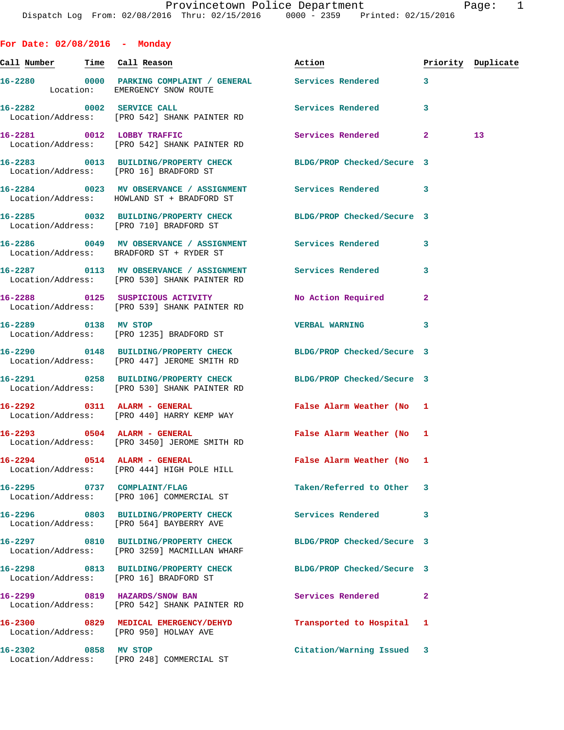| ı |  |  |
|---|--|--|
|   |  |  |

**For Date: 02/08/2016 - Monday Call Number Time Call Reason Action Priority Duplicate 16-2280 0000 PARKING COMPLAINT / GENERAL Services Rendered 3**  Location: EMERGENCY SNOW ROUTE **16-2282 0002 SERVICE CALL Services Rendered 3**  Location/Address: [PRO 542] SHANK PAINTER RD **16-2281 0012 LOBBY TRAFFIC Services Rendered 2 13**  Location/Address: [PRO 542] SHANK PAINTER RD **16-2283 0013 BUILDING/PROPERTY CHECK BLDG/PROP Checked/Secure 3**  Location/Address: [PRO 16] BRADFORD ST **16-2284 0023 MV OBSERVANCE / ASSIGNMENT Services Rendered 3**  Location/Address: HOWLAND ST + BRADFORD ST **16-2285 0032 BUILDING/PROPERTY CHECK BLDG/PROP Checked/Secure 3**  Location/Address: [PRO 710] BRADFORD ST **16-2286 0049 MV OBSERVANCE / ASSIGNMENT Services Rendered 3**  Location/Address: BRADFORD ST + RYDER ST **16-2287 0113 MV OBSERVANCE / ASSIGNMENT Services Rendered 3**  Location/Address: [PRO 530] SHANK PAINTER RD **16-2288 0125 SUSPICIOUS ACTIVITY No Action Required 2**  Location/Address: [PRO 539] SHANK PAINTER RD **16-2289 0138 MV STOP VERBAL WARNING 3**  Location/Address: [PRO 1235] BRADFORD ST **16-2290 0148 BUILDING/PROPERTY CHECK BLDG/PROP Checked/Secure 3**  Location/Address: [PRO 447] JEROME SMITH RD **16-2291 0258 BUILDING/PROPERTY CHECK BLDG/PROP Checked/Secure 3**  Location/Address: [PRO 530] SHANK PAINTER RD **16-2292 0311 ALARM - GENERAL False Alarm Weather (No 1**  Location/Address: [PRO 440] HARRY KEMP WAY **16-2293 0504 ALARM - GENERAL False Alarm Weather (No 1**  Location/Address: [PRO 3450] JEROME SMITH RD **16-2294 0514 ALARM - GENERAL False Alarm Weather (No 1**  Location/Address: [PRO 444] HIGH POLE HILL **16-2295 0737 COMPLAINT/FLAG Taken/Referred to Other 3**  Location/Address: [PRO 106] COMMERCIAL ST **16-2296 0803 BUILDING/PROPERTY CHECK Services Rendered 3**  Location/Address: [PRO 564] BAYBERRY AVE **16-2297 0810 BUILDING/PROPERTY CHECK BLDG/PROP Checked/Secure 3**  Location/Address: [PRO 3259] MACMILLAN WHARF **16-2298 0813 BUILDING/PROPERTY CHECK BLDG/PROP Checked/Secure 3**  Location/Address: [PRO 16] BRADFORD ST **16-2299 0819 HAZARDS/SNOW BAN Services Rendered 2**  Location/Address: [PRO 542] SHANK PAINTER RD **16-2300 0829 MEDICAL EMERGENCY/DEHYD Transported to Hospital 1**  Location/Address: [PRO 950] HOLWAY AVE **16-2302 0858 MV STOP Citation/Warning Issued 3**  Location/Address: [PRO 248] COMMERCIAL ST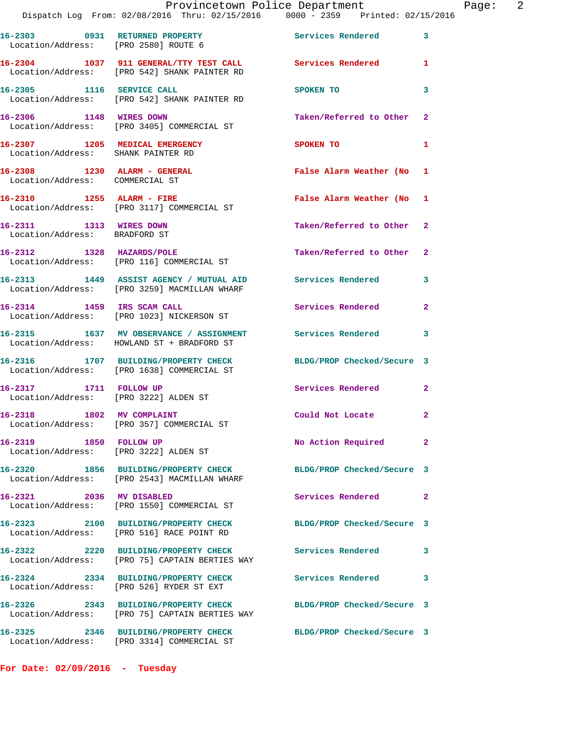|                                                                      | Provincetown Police Department<br>Dispatch Log From: 02/08/2016 Thru: 02/15/2016 0000 - 2359 Printed: 02/15/2016 |                            |                |
|----------------------------------------------------------------------|------------------------------------------------------------------------------------------------------------------|----------------------------|----------------|
|                                                                      | 16-2303 0931 RETURNED PROPERTY Services Rendered<br>Location/Address: [PRO 2580] ROUTE 6                         |                            | 3              |
|                                                                      | 16-2304 1037 911 GENERAL/TTY TEST CALL Services Rendered<br>Location/Address: [PRO 542] SHANK PAINTER RD         |                            | 1              |
|                                                                      | 16-2305 1116 SERVICE CALL<br>Location/Address: [PRO 542] SHANK PAINTER RD                                        | SPOKEN TO                  | 3              |
| 16-2306 1148 WIRES DOWN                                              | Location/Address: [PRO 3405] COMMERCIAL ST                                                                       | Taken/Referred to Other    | $\overline{2}$ |
| 16-2307 1205 MEDICAL EMERGENCY<br>Location/Address: SHANK PAINTER RD |                                                                                                                  | <b>SPOKEN TO</b>           | 1              |
| 16-2308 1230 ALARM - GENERAL<br>Location/Address: COMMERCIAL ST      |                                                                                                                  | False Alarm Weather (No    | 1              |
|                                                                      | 16-2310 1255 ALARM - FIRE<br>Location/Address: [PRO 3117] COMMERCIAL ST                                          | False Alarm Weather (No    | 1              |
| 16-2311 1313 WIRES DOWN<br>Location/Address: BRADFORD ST             |                                                                                                                  | Taken/Referred to Other    | $\mathbf{2}$   |
|                                                                      | 16-2312 1328 HAZARDS/POLE<br>Location/Address: [PRO 116] COMMERCIAL ST                                           | Taken/Referred to Other    | $\overline{2}$ |
|                                                                      | 16-2313 1449 ASSIST AGENCY / MUTUAL AID Services Rendered<br>Location/Address: [PRO 3259] MACMILLAN WHARF        |                            | 3              |
|                                                                      | 16-2314 1459 IRS SCAM CALL<br>Location/Address: [PRO 1023] NICKERSON ST                                          | Services Rendered          | $\mathbf{2}$   |
|                                                                      | 16-2315 1637 MV OBSERVANCE / ASSIGNMENT<br>Location/Address: HOWLAND ST + BRADFORD ST                            | <b>Services Rendered</b>   | 3              |
|                                                                      | 16-2316 1707 BUILDING/PROPERTY CHECK<br>Location/Address: [PRO 1638] COMMERCIAL ST                               | BLDG/PROP Checked/Secure 3 |                |
| 16-2317 1711 FOLLOW UP                                               | Location/Address: [PRO 3222] ALDEN ST                                                                            | <b>Services Rendered</b>   | $\overline{a}$ |
| 16-2318 1802 MV COMPLAINT                                            | Location/Address: [PRO 357] COMMERCIAL ST                                                                        | Could Not Locate           | $\mathbf{2}$   |
| 16-2319 1850 FOLLOW UP                                               | Location/Address: [PRO 3222] ALDEN ST                                                                            | No Action Required         | $\mathbf{2}$   |
|                                                                      | 16-2320 1856 BUILDING/PROPERTY CHECK<br>Location/Address: [PRO 2543] MACMILLAN WHARF                             | BLDG/PROP Checked/Secure 3 |                |
| 16-2321 2036 MV DISABLED                                             | Location/Address: [PRO 1550] COMMERCIAL ST                                                                       | Services Rendered          | $\mathbf{2}$   |
|                                                                      | 16-2323 2100 BUILDING/PROPERTY CHECK<br>Location/Address: [PRO 516] RACE POINT RD                                | BLDG/PROP Checked/Secure 3 |                |
|                                                                      | 16-2322 2220 BUILDING/PROPERTY CHECK<br>Location/Address: [PRO 75] CAPTAIN BERTIES WAY                           | <b>Services Rendered</b>   | 3              |
|                                                                      | 16-2324 2334 BUILDING/PROPERTY CHECK<br>Location/Address: [PRO 526] RYDER ST EXT                                 | Services Rendered          | 3              |
|                                                                      | 16-2326 2343 BUILDING/PROPERTY CHECK<br>Location/Address: [PRO 75] CAPTAIN BERTIES WAY                           | BLDG/PROP Checked/Secure 3 |                |
|                                                                      | 16-2325 2346 BUILDING/PROPERTY CHECK<br>Location/Address: [PRO 3314] COMMERCIAL ST                               | BLDG/PROP Checked/Secure 3 |                |

**For Date: 02/09/2016 - Tuesday**

Page: 2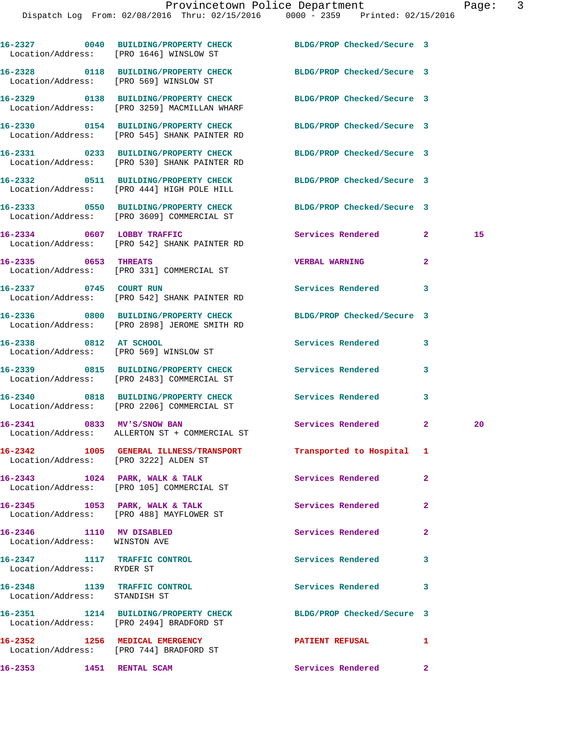|                                                            | 16-2327 0040 BUILDING/PROPERTY CHECK BLDG/PROP Checked/Secure 3<br>Location/Address: [PRO 1646] WINSLOW ST |                            |                |    |
|------------------------------------------------------------|------------------------------------------------------------------------------------------------------------|----------------------------|----------------|----|
|                                                            | 16-2328 0118 BUILDING/PROPERTY CHECK<br>Location/Address: [PRO 569] WINSLOW ST                             | BLDG/PROP Checked/Secure 3 |                |    |
|                                                            | 16-2329 0138 BUILDING/PROPERTY CHECK<br>Location/Address: [PRO 3259] MACMILLAN WHARF                       | BLDG/PROP Checked/Secure 3 |                |    |
|                                                            | 16-2330 0154 BUILDING/PROPERTY CHECK<br>Location/Address: [PRO 545] SHANK PAINTER RD                       | BLDG/PROP Checked/Secure 3 |                |    |
|                                                            | 16-2331 0233 BUILDING/PROPERTY CHECK<br>Location/Address: [PRO 530] SHANK PAINTER RD                       | BLDG/PROP Checked/Secure 3 |                |    |
|                                                            | 16-2332 0511 BUILDING/PROPERTY CHECK<br>Location/Address: [PRO 444] HIGH POLE HILL                         | BLDG/PROP Checked/Secure 3 |                |    |
|                                                            | 16-2333 0550 BUILDING/PROPERTY CHECK<br>Location/Address: [PRO 3609] COMMERCIAL ST                         | BLDG/PROP Checked/Secure 3 |                |    |
|                                                            | 16-2334 0607 LOBBY TRAFFIC<br>Location/Address: [PRO 542] SHANK PAINTER RD                                 | <b>Services Rendered</b>   | $\mathbf{2}$   | 15 |
| 16-2335 0653 THREATS                                       | Location/Address: [PRO 331] COMMERCIAL ST                                                                  | <b>VERBAL WARNING</b>      | $\mathbf{2}$   |    |
|                                                            | 16-2337 0745 COURT RUN<br>Location/Address: [PRO 542] SHANK PAINTER RD                                     | Services Rendered          | 3              |    |
|                                                            | 16-2336 0800 BUILDING/PROPERTY CHECK<br>Location/Address: [PRO 2898] JEROME SMITH RD                       | BLDG/PROP Checked/Secure 3 |                |    |
|                                                            | 16-2338 0812 AT SCHOOL<br>Location/Address: [PRO 569] WINSLOW ST                                           | <b>Services Rendered</b>   | 3              |    |
|                                                            | 16-2339 0815 BUILDING/PROPERTY CHECK<br>Location/Address: [PRO 2483] COMMERCIAL ST                         | Services Rendered          | 3              |    |
|                                                            | 16-2340 0818 BUILDING/PROPERTY CHECK<br>Location/Address: [PRO 2206] COMMERCIAL ST                         | <b>Services Rendered</b>   | 3              |    |
| 16-2341 0833 MV'S/SNOW BAN                                 | Location/Address: ALLERTON ST + COMMERCIAL ST                                                              | Services Rendered          | $\mathbf{2}$   | 20 |
|                                                            | 16-2342 1005 GENERAL ILLNESS/TRANSPORT<br>Location/Address: [PRO 3222] ALDEN ST                            | Transported to Hospital 1  |                |    |
|                                                            | 16-2343 1024 PARK, WALK & TALK<br>Location/Address: [PRO 105] COMMERCIAL ST                                | Services Rendered          | $\overline{a}$ |    |
|                                                            | 16-2345 1053 PARK, WALK & TALK<br>Location/Address: [PRO 488] MAYFLOWER ST                                 | Services Rendered          | $\mathbf{2}$   |    |
| 16-2346 1110 MV DISABLED<br>Location/Address: WINSTON AVE  |                                                                                                            | Services Rendered          | $\overline{a}$ |    |
| 16-2347 1117 TRAFFIC CONTROL<br>Location/Address: RYDER ST |                                                                                                            | <b>Services Rendered</b>   | 3              |    |
| Location/Address: STANDISH ST                              | 16-2348 1139 TRAFFIC CONTROL                                                                               | Services Rendered          | 3              |    |
|                                                            | 16-2351 1214 BUILDING/PROPERTY CHECK<br>Location/Address: [PRO 2494] BRADFORD ST                           | BLDG/PROP Checked/Secure 3 |                |    |
|                                                            | 16-2352 1256 MEDICAL EMERGENCY<br>Location/Address: [PRO 744] BRADFORD ST                                  | <b>PATIENT REFUSAL</b>     | 1              |    |
| 16-2353 1451 RENTAL SCAM                                   |                                                                                                            | Services Rendered          | $\mathbf{2}$   |    |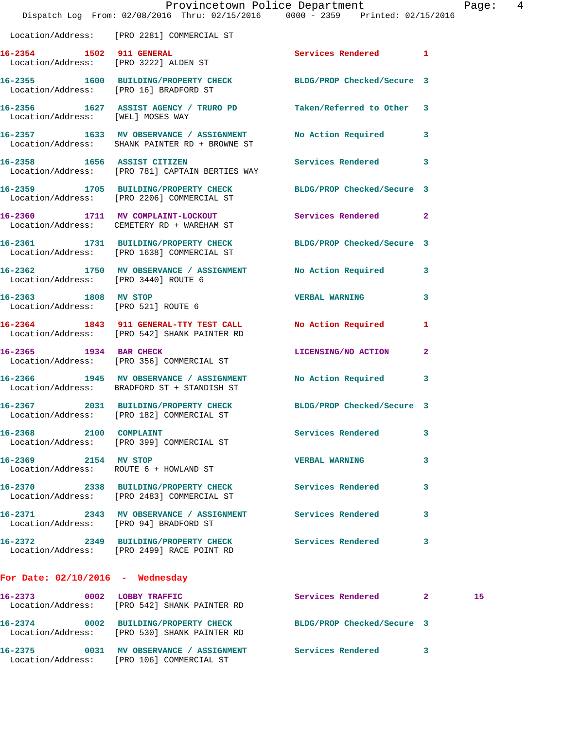|                                                             | Dispatch Log From: 02/08/2016 Thru: 02/15/2016 0000 - 2359 Printed: 02/15/2016                                  | Provincetown Police Department |              | Page: 4 |  |
|-------------------------------------------------------------|-----------------------------------------------------------------------------------------------------------------|--------------------------------|--------------|---------|--|
|                                                             | Location/Address: [PRO 2281] COMMERCIAL ST                                                                      |                                |              |         |  |
|                                                             | 16-2354 1502 911 GENERAL<br>Location/Address: [PRO 3222] ALDEN ST                                               | Services Rendered 1            |              |         |  |
|                                                             | 16-2355 1600 BUILDING/PROPERTY CHECK BLDG/PROP Checked/Secure 3<br>Location/Address: [PRO 16] BRADFORD ST       |                                |              |         |  |
| Location/Address: [WEL] MOSES WAY                           | 16-2356 1627 ASSIST AGENCY / TRURO PD Taken/Referred to Other 3                                                 |                                |              |         |  |
|                                                             | 16-2357 1633 MV OBSERVANCE / ASSIGNMENT No Action Required 3<br>Location/Address: SHANK PAINTER RD + BROWNE ST  |                                |              |         |  |
|                                                             | 16-2358 1656 ASSIST CITIZEN 5ervices Rendered 3<br>Location/Address: [PRO 781] CAPTAIN BERTIES WAY              |                                |              |         |  |
|                                                             | 16-2359 1705 BUILDING/PROPERTY CHECK BLDG/PROP Checked/Secure 3<br>Location/Address: [PRO 2206] COMMERCIAL ST   |                                |              |         |  |
|                                                             | 16-2360 1711 MV COMPLAINT-LOCKOUT Services Rendered 2<br>Location/Address: CEMETERY RD + WAREHAM ST             |                                |              |         |  |
|                                                             | 16-2361 1731 BUILDING/PROPERTY CHECK BLDG/PROP Checked/Secure 3<br>Location/Address: [PRO 1638] COMMERCIAL ST   |                                |              |         |  |
|                                                             | 16-2362 1750 MV OBSERVANCE / ASSIGNMENT No Action Required 3<br>Location/Address: [PRO 3440] ROUTE 6            |                                |              |         |  |
| 16-2363 1808 MV STOP<br>Location/Address: [PRO 521] ROUTE 6 |                                                                                                                 | <b>VERBAL WARNING</b>          | 3            |         |  |
|                                                             | 16-2364 1843 911 GENERAL-TTY TEST CALL No Action Required 1<br>Location/Address: [PRO 542] SHANK PAINTER RD     |                                |              |         |  |
|                                                             | 16-2365 1934 BAR CHECK<br>Location/Address: [PRO 356] COMMERCIAL ST                                             | LICENSING/NO ACTION            | $\mathbf{2}$ |         |  |
|                                                             | 16-2366 1945 MV OBSERVANCE / ASSIGNMENT No Action Required<br>Location/Address: BRADFORD ST + STANDISH ST       |                                | 3            |         |  |
|                                                             | 16-2367 2031 BUILDING/PROPERTY CHECK BLDG/PROP Checked/Secure 3<br>Location/Address: [PRO 182] COMMERCIAL ST    |                                |              |         |  |
| 16-2368 2100 COMPLAINT                                      | Location/Address: [PRO 399] COMMERCIAL ST                                                                       | Services Rendered              | 3            |         |  |
| 16-2369 2154 MV STOP                                        | Location/Address: ROUTE 6 + HOWLAND ST                                                                          | <b>VERBAL WARNING</b>          | 3            |         |  |
|                                                             | 16-2370 2338 BUILDING/PROPERTY CHECK Services Rendered<br>Location/Address: [PRO 2483] COMMERCIAL ST            |                                | 3            |         |  |
|                                                             | 16-2371 2343 MV OBSERVANCE / ASSIGNMENT Services Rendered<br>Location/Address: [PRO 94] BRADFORD ST             |                                | 3            |         |  |
|                                                             | 16-2372 2349 BUILDING/PROPERTY CHECK Services Rendered 3<br>Location/Address: [PRO 2499] RACE POINT RD          |                                |              |         |  |
| For Date: $02/10/2016$ - Wednesday                          |                                                                                                                 |                                |              |         |  |
|                                                             | 16-2373 0002 LOBBY TRAFFIC<br>Location/Address: [PRO 542] SHANK PAINTER RD                                      | Services Rendered 2            |              | 15      |  |
|                                                             | 16-2374 0002 BUILDING/PROPERTY CHECK BLDG/PROP Checked/Secure 3<br>Location/Address: [PRO 530] SHANK PAINTER RD |                                |              |         |  |
|                                                             | 16-2375 0031 MV OBSERVANCE / ASSIGNMENT Services Rendered 3<br>Location/Address: [PRO 106] COMMERCIAL ST        |                                |              |         |  |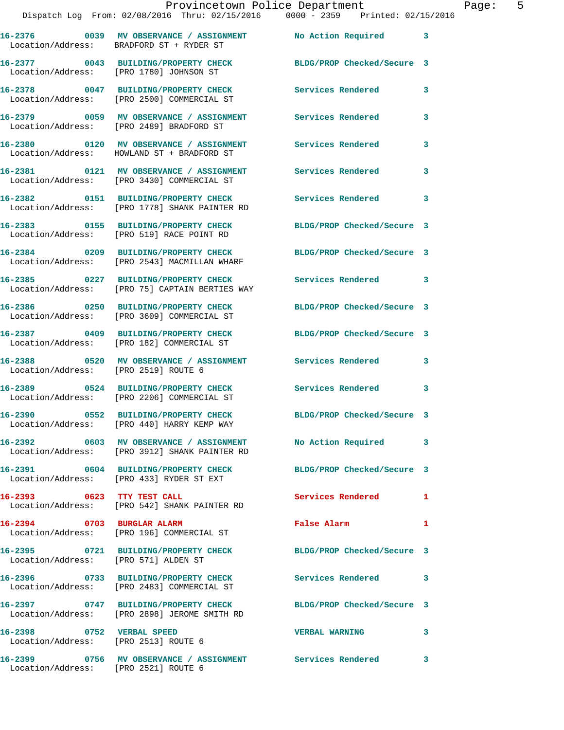|                                                                   | Provincetown Police Department<br>Dispatch Log From: 02/08/2016 Thru: 02/15/2016 0000 - 2359 Printed: 02/15/2016 |                            |   |
|-------------------------------------------------------------------|------------------------------------------------------------------------------------------------------------------|----------------------------|---|
|                                                                   | 16-2376 0039 MV OBSERVANCE / ASSIGNMENT No Action Required<br>Location/Address: BRADFORD ST + RYDER ST           |                            | 3 |
|                                                                   | 16-2377 0043 BUILDING/PROPERTY CHECK BLDG/PROP Checked/Secure 3<br>Location/Address: [PRO 1780] JOHNSON ST       |                            |   |
|                                                                   | 16-2378 0047 BUILDING/PROPERTY CHECK<br>Location/Address: [PRO 2500] COMMERCIAL ST                               | Services Rendered          | 3 |
|                                                                   | 16-2379 		 0059 MV OBSERVANCE / ASSIGNMENT Services Rendered<br>Location/Address: [PRO 2489] BRADFORD ST         |                            | 3 |
|                                                                   | 16-2380  0120 MV OBSERVANCE / ASSIGNMENT Services Rendered<br>Location/Address: HOWLAND ST + BRADFORD ST         |                            | 3 |
|                                                                   | 16-2381   0121 MV OBSERVANCE / ASSIGNMENT   Services Rendered<br>Location/Address: [PRO 3430] COMMERCIAL ST      |                            | 3 |
|                                                                   | 16-2382 0151 BUILDING/PROPERTY CHECK<br>Location/Address: [PRO 1778] SHANK PAINTER RD                            | <b>Services Rendered</b>   | 3 |
|                                                                   | 16-2383 0155 BUILDING/PROPERTY CHECK<br>Location/Address: [PRO 519] RACE POINT RD                                | BLDG/PROP Checked/Secure 3 |   |
|                                                                   | 16-2384 0209 BUILDING/PROPERTY CHECK BLDG/PROP Checked/Secure 3<br>Location/Address: [PRO 2543] MACMILLAN WHARF  |                            |   |
|                                                                   | 16-2385 0227 BUILDING/PROPERTY CHECK<br>Location/Address: [PRO 75] CAPTAIN BERTIES WAY                           | <b>Services Rendered</b>   | 3 |
|                                                                   | 16-2386 0250 BUILDING/PROPERTY CHECK<br>Location/Address: [PRO 3609] COMMERCIAL ST                               | BLDG/PROP Checked/Secure 3 |   |
|                                                                   | 16-2387 0409 BUILDING/PROPERTY CHECK<br>Location/Address: [PRO 182] COMMERCIAL ST                                | BLDG/PROP Checked/Secure 3 |   |
| Location/Address: [PRO 2519] ROUTE 6                              | 16-2388 6520 MV OBSERVANCE / ASSIGNMENT Services Rendered                                                        |                            | 3 |
|                                                                   | 16-2389 0524 BUILDING/PROPERTY CHECK<br>Location/Address: [PRO 2206] COMMERCIAL ST                               | <b>Services Rendered</b>   | 3 |
|                                                                   | 16-2390 0552 BUILDING/PROPERTY CHECK<br>Location/Address: [PRO 440] HARRY KEMP WAY                               | BLDG/PROP Checked/Secure 3 |   |
|                                                                   | 16-2392 0603 MV OBSERVANCE / ASSIGNMENT No Action Required<br>Location/Address: [PRO 3912] SHANK PAINTER RD      |                            | 3 |
|                                                                   | 16-2391 0604 BUILDING/PROPERTY CHECK<br>Location/Address: [PRO 433] RYDER ST EXT                                 | BLDG/PROP Checked/Secure 3 |   |
|                                                                   | 16-2393 0623 TTY TEST CALL<br>Location/Address: [PRO 542] SHANK PAINTER RD                                       | <b>Services Rendered</b>   | 1 |
| 16-2394 0703 BURGLAR ALARM                                        | Location/Address: [PRO 196] COMMERCIAL ST                                                                        | False Alarm                | 1 |
| Location/Address: [PRO 571] ALDEN ST                              | 16-2395 0721 BUILDING/PROPERTY CHECK                                                                             | BLDG/PROP Checked/Secure 3 |   |
|                                                                   | 16-2396 0733 BUILDING/PROPERTY CHECK Services Rendered<br>Location/Address: [PRO 2483] COMMERCIAL ST             |                            | 3 |
|                                                                   | 16-2397 0747 BUILDING/PROPERTY CHECK BLDG/PROP Checked/Secure 3<br>Location/Address: [PRO 2898] JEROME SMITH RD  |                            |   |
| 16-2398 0752 VERBAL SPEED<br>Location/Address: [PRO 2513] ROUTE 6 |                                                                                                                  | <b>VERBAL WARNING</b>      | 3 |
|                                                                   | 16-2399                0756     MV OBSERVANCE / ASSIGNMENT                 Services Rendered                     |                            | 3 |

Location/Address: [PRO 2521] ROUTE 6

Page: 5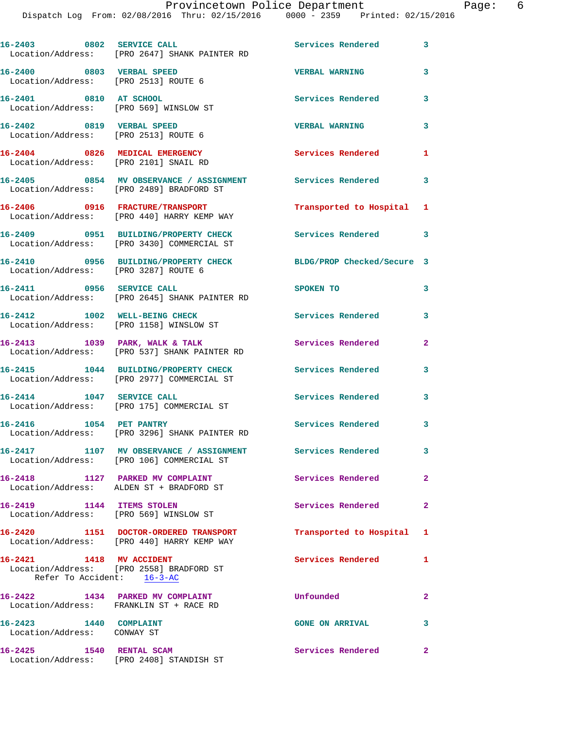Dispatch Log From: 02/08/2016 Thru: 02/15/2016 0000 - 2359 Printed: 02/15/2016

**16-2403 0802 SERVICE CALL Services Rendered 3**  Location/Address: [PRO 2647] SHANK PAINTER RD **16-2400 0803 VERBAL SPEED VERBAL WARNING 3**  Location/Address: [PRO 2513] ROUTE 6 **16-2401 0810 AT SCHOOL Services Rendered 3**  Location/Address: [PRO 569] WINSLOW ST **16-2402 0819 VERBAL SPEED VERBAL WARNING 3**  Location/Address: [PRO 2513] ROUTE 6 **16-2404 0826 MEDICAL EMERGENCY Services Rendered 1**  Location/Address: [PRO 2101] SNAIL RD **16-2405 0854 MV OBSERVANCE / ASSIGNMENT Services Rendered 3**  Location/Address: [PRO 2489] BRADFORD ST **16-2406 0916 FRACTURE/TRANSPORT Transported to Hospital 1**  Location/Address: [PRO 440] HARRY KEMP WAY **16-2409 0951 BUILDING/PROPERTY CHECK Services Rendered 3**  Location/Address: [PRO 3430] COMMERCIAL ST **16-2410 0956 BUILDING/PROPERTY CHECK BLDG/PROP Checked/Secure 3**  Location/Address: [PRO 3287] ROUTE 6 **16-2411 0956 SERVICE CALL SPOKEN TO 3**  Location/Address: [PRO 2645] SHANK PAINTER RD **16-2412 1002 WELL-BEING CHECK Services Rendered 3**  Location/Address: [PRO 1158] WINSLOW ST **16-2413 1039 PARK, WALK & TALK Services Rendered 2**  Location/Address: [PRO 537] SHANK PAINTER RD **16-2415 1044 BUILDING/PROPERTY CHECK Services Rendered 3**  Location/Address: [PRO 2977] COMMERCIAL ST **16-2414 1047 SERVICE CALL Services Rendered 3**  Location/Address: [PRO 175] COMMERCIAL ST **16-2416 1054 PET PANTRY Services Rendered 3**  Location/Address: [PRO 3296] SHANK PAINTER RD **16-2417 1107 MV OBSERVANCE / ASSIGNMENT Services Rendered 3**  Location/Address: [PRO 106] COMMERCIAL ST **16-2418 1127 PARKED MV COMPLAINT Services Rendered 2**  Location/Address: ALDEN ST + BRADFORD ST **16-2419 1144 ITEMS STOLEN Services Rendered 2**  Location/Address: [PRO 569] WINSLOW ST **16-2420 1151 DOCTOR-ORDERED TRANSPORT Transported to Hospital 1**  Location/Address: [PRO 440] HARRY KEMP WAY **16-2421 1418 MV ACCIDENT Services Rendered 1**  Location/Address: [PRO 2558] BRADFORD ST Refer To Accident: 16-3-AC **16-2422 1434 PARKED MV COMPLAINT Unfounded 2**  Location/Address: FRANKLIN ST + RACE RD **16-2423 1440 COMPLAINT GONE ON ARRIVAL 3**  Location/Address: CONWAY ST **16-2425 1540 RENTAL SCAM Services Rendered 2**  Location/Address: [PRO 2408] STANDISH ST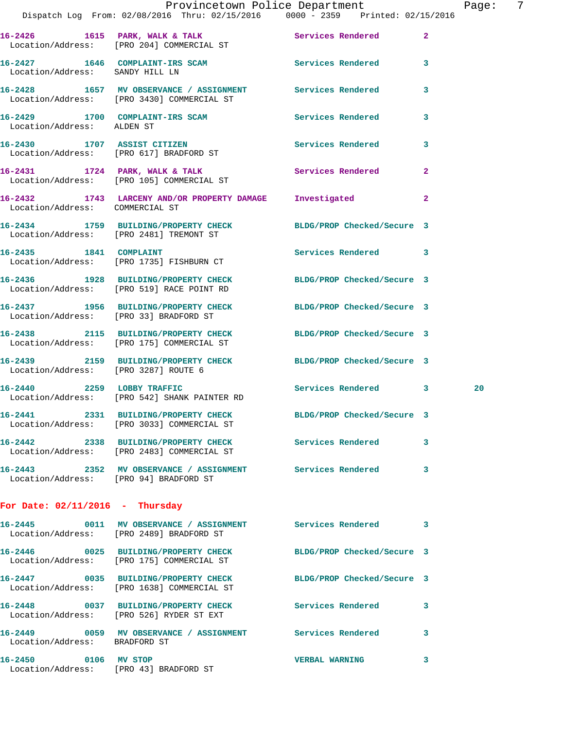|                                                                                                                                                                                                                                                                                                                                                                                                                                                                                                                                                                                                                                                                                                                                                                                                                                                                                                                                                                                                                        | Page:                                                                                                                                                                                                                                                                                                                                                                                                                                                                                                                                                                                                                                               | 7                                                                                                                                                                                                                                                                                                                                                                                                                                                                                                                                                                                                                                                                                                                                                                                                                                                                                                                                                                                   |
|------------------------------------------------------------------------------------------------------------------------------------------------------------------------------------------------------------------------------------------------------------------------------------------------------------------------------------------------------------------------------------------------------------------------------------------------------------------------------------------------------------------------------------------------------------------------------------------------------------------------------------------------------------------------------------------------------------------------------------------------------------------------------------------------------------------------------------------------------------------------------------------------------------------------------------------------------------------------------------------------------------------------|-----------------------------------------------------------------------------------------------------------------------------------------------------------------------------------------------------------------------------------------------------------------------------------------------------------------------------------------------------------------------------------------------------------------------------------------------------------------------------------------------------------------------------------------------------------------------------------------------------------------------------------------------------|-------------------------------------------------------------------------------------------------------------------------------------------------------------------------------------------------------------------------------------------------------------------------------------------------------------------------------------------------------------------------------------------------------------------------------------------------------------------------------------------------------------------------------------------------------------------------------------------------------------------------------------------------------------------------------------------------------------------------------------------------------------------------------------------------------------------------------------------------------------------------------------------------------------------------------------------------------------------------------------|
|                                                                                                                                                                                                                                                                                                                                                                                                                                                                                                                                                                                                                                                                                                                                                                                                                                                                                                                                                                                                                        |                                                                                                                                                                                                                                                                                                                                                                                                                                                                                                                                                                                                                                                     |                                                                                                                                                                                                                                                                                                                                                                                                                                                                                                                                                                                                                                                                                                                                                                                                                                                                                                                                                                                     |
|                                                                                                                                                                                                                                                                                                                                                                                                                                                                                                                                                                                                                                                                                                                                                                                                                                                                                                                                                                                                                        |                                                                                                                                                                                                                                                                                                                                                                                                                                                                                                                                                                                                                                                     |                                                                                                                                                                                                                                                                                                                                                                                                                                                                                                                                                                                                                                                                                                                                                                                                                                                                                                                                                                                     |
|                                                                                                                                                                                                                                                                                                                                                                                                                                                                                                                                                                                                                                                                                                                                                                                                                                                                                                                                                                                                                        |                                                                                                                                                                                                                                                                                                                                                                                                                                                                                                                                                                                                                                                     |                                                                                                                                                                                                                                                                                                                                                                                                                                                                                                                                                                                                                                                                                                                                                                                                                                                                                                                                                                                     |
|                                                                                                                                                                                                                                                                                                                                                                                                                                                                                                                                                                                                                                                                                                                                                                                                                                                                                                                                                                                                                        |                                                                                                                                                                                                                                                                                                                                                                                                                                                                                                                                                                                                                                                     |                                                                                                                                                                                                                                                                                                                                                                                                                                                                                                                                                                                                                                                                                                                                                                                                                                                                                                                                                                                     |
|                                                                                                                                                                                                                                                                                                                                                                                                                                                                                                                                                                                                                                                                                                                                                                                                                                                                                                                                                                                                                        |                                                                                                                                                                                                                                                                                                                                                                                                                                                                                                                                                                                                                                                     |                                                                                                                                                                                                                                                                                                                                                                                                                                                                                                                                                                                                                                                                                                                                                                                                                                                                                                                                                                                     |
|                                                                                                                                                                                                                                                                                                                                                                                                                                                                                                                                                                                                                                                                                                                                                                                                                                                                                                                                                                                                                        |                                                                                                                                                                                                                                                                                                                                                                                                                                                                                                                                                                                                                                                     |                                                                                                                                                                                                                                                                                                                                                                                                                                                                                                                                                                                                                                                                                                                                                                                                                                                                                                                                                                                     |
|                                                                                                                                                                                                                                                                                                                                                                                                                                                                                                                                                                                                                                                                                                                                                                                                                                                                                                                                                                                                                        |                                                                                                                                                                                                                                                                                                                                                                                                                                                                                                                                                                                                                                                     |                                                                                                                                                                                                                                                                                                                                                                                                                                                                                                                                                                                                                                                                                                                                                                                                                                                                                                                                                                                     |
|                                                                                                                                                                                                                                                                                                                                                                                                                                                                                                                                                                                                                                                                                                                                                                                                                                                                                                                                                                                                                        |                                                                                                                                                                                                                                                                                                                                                                                                                                                                                                                                                                                                                                                     |                                                                                                                                                                                                                                                                                                                                                                                                                                                                                                                                                                                                                                                                                                                                                                                                                                                                                                                                                                                     |
|                                                                                                                                                                                                                                                                                                                                                                                                                                                                                                                                                                                                                                                                                                                                                                                                                                                                                                                                                                                                                        |                                                                                                                                                                                                                                                                                                                                                                                                                                                                                                                                                                                                                                                     |                                                                                                                                                                                                                                                                                                                                                                                                                                                                                                                                                                                                                                                                                                                                                                                                                                                                                                                                                                                     |
|                                                                                                                                                                                                                                                                                                                                                                                                                                                                                                                                                                                                                                                                                                                                                                                                                                                                                                                                                                                                                        |                                                                                                                                                                                                                                                                                                                                                                                                                                                                                                                                                                                                                                                     |                                                                                                                                                                                                                                                                                                                                                                                                                                                                                                                                                                                                                                                                                                                                                                                                                                                                                                                                                                                     |
|                                                                                                                                                                                                                                                                                                                                                                                                                                                                                                                                                                                                                                                                                                                                                                                                                                                                                                                                                                                                                        |                                                                                                                                                                                                                                                                                                                                                                                                                                                                                                                                                                                                                                                     |                                                                                                                                                                                                                                                                                                                                                                                                                                                                                                                                                                                                                                                                                                                                                                                                                                                                                                                                                                                     |
|                                                                                                                                                                                                                                                                                                                                                                                                                                                                                                                                                                                                                                                                                                                                                                                                                                                                                                                                                                                                                        |                                                                                                                                                                                                                                                                                                                                                                                                                                                                                                                                                                                                                                                     |                                                                                                                                                                                                                                                                                                                                                                                                                                                                                                                                                                                                                                                                                                                                                                                                                                                                                                                                                                                     |
|                                                                                                                                                                                                                                                                                                                                                                                                                                                                                                                                                                                                                                                                                                                                                                                                                                                                                                                                                                                                                        |                                                                                                                                                                                                                                                                                                                                                                                                                                                                                                                                                                                                                                                     |                                                                                                                                                                                                                                                                                                                                                                                                                                                                                                                                                                                                                                                                                                                                                                                                                                                                                                                                                                                     |
|                                                                                                                                                                                                                                                                                                                                                                                                                                                                                                                                                                                                                                                                                                                                                                                                                                                                                                                                                                                                                        |                                                                                                                                                                                                                                                                                                                                                                                                                                                                                                                                                                                                                                                     |                                                                                                                                                                                                                                                                                                                                                                                                                                                                                                                                                                                                                                                                                                                                                                                                                                                                                                                                                                                     |
|                                                                                                                                                                                                                                                                                                                                                                                                                                                                                                                                                                                                                                                                                                                                                                                                                                                                                                                                                                                                                        | 20                                                                                                                                                                                                                                                                                                                                                                                                                                                                                                                                                                                                                                                  |                                                                                                                                                                                                                                                                                                                                                                                                                                                                                                                                                                                                                                                                                                                                                                                                                                                                                                                                                                                     |
|                                                                                                                                                                                                                                                                                                                                                                                                                                                                                                                                                                                                                                                                                                                                                                                                                                                                                                                                                                                                                        |                                                                                                                                                                                                                                                                                                                                                                                                                                                                                                                                                                                                                                                     |                                                                                                                                                                                                                                                                                                                                                                                                                                                                                                                                                                                                                                                                                                                                                                                                                                                                                                                                                                                     |
|                                                                                                                                                                                                                                                                                                                                                                                                                                                                                                                                                                                                                                                                                                                                                                                                                                                                                                                                                                                                                        |                                                                                                                                                                                                                                                                                                                                                                                                                                                                                                                                                                                                                                                     |                                                                                                                                                                                                                                                                                                                                                                                                                                                                                                                                                                                                                                                                                                                                                                                                                                                                                                                                                                                     |
|                                                                                                                                                                                                                                                                                                                                                                                                                                                                                                                                                                                                                                                                                                                                                                                                                                                                                                                                                                                                                        |                                                                                                                                                                                                                                                                                                                                                                                                                                                                                                                                                                                                                                                     |                                                                                                                                                                                                                                                                                                                                                                                                                                                                                                                                                                                                                                                                                                                                                                                                                                                                                                                                                                                     |
|                                                                                                                                                                                                                                                                                                                                                                                                                                                                                                                                                                                                                                                                                                                                                                                                                                                                                                                                                                                                                        |                                                                                                                                                                                                                                                                                                                                                                                                                                                                                                                                                                                                                                                     |                                                                                                                                                                                                                                                                                                                                                                                                                                                                                                                                                                                                                                                                                                                                                                                                                                                                                                                                                                                     |
|                                                                                                                                                                                                                                                                                                                                                                                                                                                                                                                                                                                                                                                                                                                                                                                                                                                                                                                                                                                                                        |                                                                                                                                                                                                                                                                                                                                                                                                                                                                                                                                                                                                                                                     |                                                                                                                                                                                                                                                                                                                                                                                                                                                                                                                                                                                                                                                                                                                                                                                                                                                                                                                                                                                     |
|                                                                                                                                                                                                                                                                                                                                                                                                                                                                                                                                                                                                                                                                                                                                                                                                                                                                                                                                                                                                                        |                                                                                                                                                                                                                                                                                                                                                                                                                                                                                                                                                                                                                                                     |                                                                                                                                                                                                                                                                                                                                                                                                                                                                                                                                                                                                                                                                                                                                                                                                                                                                                                                                                                                     |
|                                                                                                                                                                                                                                                                                                                                                                                                                                                                                                                                                                                                                                                                                                                                                                                                                                                                                                                                                                                                                        |                                                                                                                                                                                                                                                                                                                                                                                                                                                                                                                                                                                                                                                     |                                                                                                                                                                                                                                                                                                                                                                                                                                                                                                                                                                                                                                                                                                                                                                                                                                                                                                                                                                                     |
|                                                                                                                                                                                                                                                                                                                                                                                                                                                                                                                                                                                                                                                                                                                                                                                                                                                                                                                                                                                                                        |                                                                                                                                                                                                                                                                                                                                                                                                                                                                                                                                                                                                                                                     |                                                                                                                                                                                                                                                                                                                                                                                                                                                                                                                                                                                                                                                                                                                                                                                                                                                                                                                                                                                     |
|                                                                                                                                                                                                                                                                                                                                                                                                                                                                                                                                                                                                                                                                                                                                                                                                                                                                                                                                                                                                                        |                                                                                                                                                                                                                                                                                                                                                                                                                                                                                                                                                                                                                                                     |                                                                                                                                                                                                                                                                                                                                                                                                                                                                                                                                                                                                                                                                                                                                                                                                                                                                                                                                                                                     |
| <b>VERBAL WARNING</b>                                                                                                                                                                                                                                                                                                                                                                                                                                                                                                                                                                                                                                                                                                                                                                                                                                                                                                                                                                                                  |                                                                                                                                                                                                                                                                                                                                                                                                                                                                                                                                                                                                                                                     |                                                                                                                                                                                                                                                                                                                                                                                                                                                                                                                                                                                                                                                                                                                                                                                                                                                                                                                                                                                     |
| Location/Address: SANDY HILL LN<br>Location/Address: ALDEN ST<br>16-2430 1707 ASSIST CITIZEN<br>Location/Address: [PRO 617] BRADFORD ST<br>Location/Address: [PRO 105] COMMERCIAL ST<br>Location/Address: COMMERCIAL ST<br>Location/Address: [PRO 2481] TREMONT ST<br>16-2435 1841 COMPLAINT<br>Location/Address: [PRO 1735] FISHBURN CT<br>Location/Address: [PRO 519] RACE POINT RD<br>Location/Address: [PRO 33] BRADFORD ST<br>Location/Address: [PRO 3287] ROUTE 6<br>16-2440 2259 LOBBY TRAFFIC<br>Location/Address: [PRO 542] SHANK PAINTER RD<br>Location/Address: [PRO 3033] COMMERCIAL ST<br>Location/Address: [PRO 2483] COMMERCIAL ST<br>Location/Address: [PRO 94] BRADFORD ST<br>For Date: $02/11/2016$ - Thursday<br>Location/Address: [PRO 2489] BRADFORD ST<br>Location/Address: [PRO 175] COMMERCIAL ST<br>Location/Address: [PRO 1638] COMMERCIAL ST<br>Location/Address: [PRO 526] RYDER ST EXT<br>Location/Address: BRADFORD ST<br>16-2450 0106 MV STOP<br>Location/Address: [PRO 43] BRADFORD ST | 16-2426 1615 PARK, WALK & TALK CHARA Services Rendered Location/Address: [PRO 204] COMMERCIAL ST<br>16-2428 1657 MV OBSERVANCE / ASSIGNMENT Services Rendered<br>Location/Address: [PRO 3430] COMMERCIAL ST<br>16-2429 1700 COMPLAINT-IRS SCAM Services Rendered<br>Services Rendered<br>16-2431 1724 PARK, WALK & TALK Services Rendered<br>16-2432 1743 LARCENY AND/OR PROPERTY DAMAGE Investigated<br>16-2442 2338 BUILDING/PROPERTY CHECK Services Rendered<br>16-2443 2352 MV OBSERVANCE / ASSIGNMENT Services Rendered<br>16-2448 0037 BUILDING/PROPERTY CHECK Services Rendered<br>16-2449 0059 MV OBSERVANCE / ASSIGNMENT Services Rendered | Provincetown Police Department<br>Dispatch Log From: 02/08/2016 Thru: 02/15/2016 0000 - 2359 Printed: 02/15/2016<br>$\overline{2}$<br>16-2427 1646 COMPLAINT-IRS SCAM Services Rendered 3<br>3<br>3<br>3<br>$\mathbf{2}$<br>$\mathbf{2}$<br>16-2434 1759 BUILDING/PROPERTY CHECK BLDG/PROP Checked/Secure 3<br>Services Rendered 3<br>16-2436 1928 BUILDING/PROPERTY CHECK BLDG/PROP Checked/Secure 3<br>16-2437 1956 BUILDING/PROPERTY CHECK BLDG/PROP Checked/Secure 3<br>16-2438 2115 BUILDING/PROPERTY CHECK BLDG/PROP Checked/Secure 3<br>Location/Address: [PRO 175] COMMERCIAL ST<br>16-2439 2159 BUILDING/PROPERTY CHECK BLDG/PROP Checked/Secure 3<br>Services Rendered 3<br>16-2441 2331 BUILDING/PROPERTY CHECK BLDG/PROP Checked/Secure 3<br>3<br>3<br>16-2445 0011 MV OBSERVANCE / ASSIGNMENT Services Rendered 3<br>16-2446 0025 BUILDING/PROPERTY CHECK BLDG/PROP Checked/Secure 3<br>16-2447 0035 BUILDING/PROPERTY CHECK BLDG/PROP Checked/Secure 3<br>3<br>3<br>3 |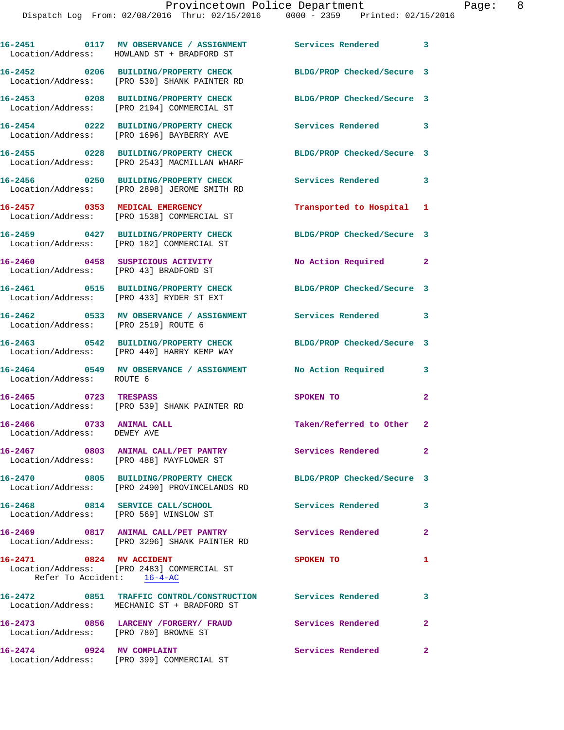**16-2451 0117 MV OBSERVANCE / ASSIGNMENT Services Rendered 3**  Location/Address: HOWLAND ST + BRADFORD ST **16-2452 0206 BUILDING/PROPERTY CHECK BLDG/PROP Checked/Secure 3**  Location/Address: [PRO 530] SHANK PAINTER RD **16-2453 0208 BUILDING/PROPERTY CHECK BLDG/PROP Checked/Secure 3**  Location/Address: [PRO 2194] COMMERCIAL ST **16-2454 0222 BUILDING/PROPERTY CHECK Services Rendered 3**  Location/Address: [PRO 1696] BAYBERRY AVE **16-2455 0228 BUILDING/PROPERTY CHECK BLDG/PROP Checked/Secure 3**  Location/Address: [PRO 2543] MACMILLAN WHARF **16-2456 0250 BUILDING/PROPERTY CHECK Services Rendered 3**  Location/Address: [PRO 2898] JEROME SMITH RD **16-2457 0353 MEDICAL EMERGENCY Transported to Hospital 1**  Location/Address: [PRO 1538] COMMERCIAL ST **16-2459 0427 BUILDING/PROPERTY CHECK BLDG/PROP Checked/Secure 3**  Location/Address: [PRO 182] COMMERCIAL ST **16-2460 0458 SUSPICIOUS ACTIVITY No Action Required 2**  Location/Address: [PRO 43] BRADFORD ST **16-2461 0515 BUILDING/PROPERTY CHECK BLDG/PROP Checked/Secure 3**  Location/Address: [PRO 433] RYDER ST EXT **16-2462 0533 MV OBSERVANCE / ASSIGNMENT Services Rendered 3**  Location/Address: [PRO 2519] ROUTE 6 **16-2463 0542 BUILDING/PROPERTY CHECK BLDG/PROP Checked/Secure 3**  Location/Address: [PRO 440] HARRY KEMP WAY **16-2464 0549 MV OBSERVANCE / ASSIGNMENT No Action Required 3**  Location/Address: ROUTE 6 **16-2465 0723 TRESPASS SPOKEN TO 2**  Location/Address: [PRO 539] SHANK PAINTER RD **16-2466 0733 ANIMAL CALL Taken/Referred to Other 2**  Location/Address: DEWEY AVE **16-2467 0803 ANIMAL CALL/PET PANTRY Services Rendered 2**  Location/Address: [PRO 488] MAYFLOWER ST **16-2470 0805 BUILDING/PROPERTY CHECK BLDG/PROP Checked/Secure 3**  Location/Address: [PRO 2490] PROVINCELANDS RD **16-2468 0814 SERVICE CALL/SCHOOL Services Rendered 3**  Location/Address: [PRO 569] WINSLOW ST **16-2469 0817 ANIMAL CALL/PET PANTRY Services Rendered 2**  Location/Address: [PRO 3296] SHANK PAINTER RD **16-2471 0824 MV ACCIDENT SPOKEN TO 1**  Location/Address: [PRO 2483] COMMERCIAL ST Refer To Accident: 16-4-AC **16-2472 0851 TRAFFIC CONTROL/CONSTRUCTION Services Rendered 3**  Location/Address: MECHANIC ST + BRADFORD ST **16-2473 0856 LARCENY /FORGERY/ FRAUD Services Rendered 2**  Location/Address: [PRO 780] BROWNE ST 16-2474 0924 MV COMPLAINT **Services Rendered** 2 Location/Address: [PRO 399] COMMERCIAL ST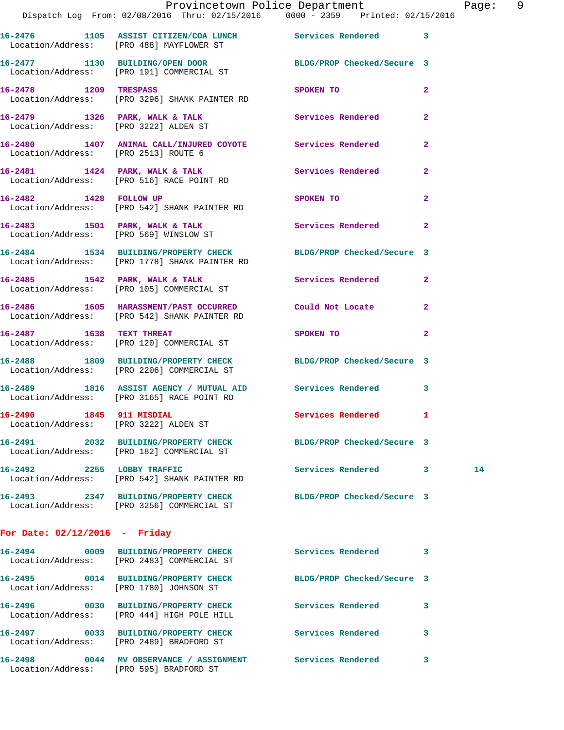|                                                                   | Provincetown Police Department The Page: 9<br>Dispatch Log From: 02/08/2016 Thru: 02/15/2016 0000 - 2359 Printed: 02/15/2016 |                                                                                                                                                                                                                                |              |    |  |
|-------------------------------------------------------------------|------------------------------------------------------------------------------------------------------------------------------|--------------------------------------------------------------------------------------------------------------------------------------------------------------------------------------------------------------------------------|--------------|----|--|
|                                                                   | 16-2476 1105 ASSIST CITIZEN/COA LUNCH Services Rendered 3<br>Location/Address: [PRO 488] MAYFLOWER ST                        |                                                                                                                                                                                                                                |              |    |  |
|                                                                   | 16-2477 1130 BUILDING/OPEN DOOR BLDG/PROP Checked/Secure 3<br>Location/Address: [PRO 191] COMMERCIAL ST                      |                                                                                                                                                                                                                                |              |    |  |
|                                                                   | 16-2478 1209 TRESPASS<br>Location/Address: [PRO 3296] SHANK PAINTER RD                                                       | SPOKEN TO AND TO A REAL PROPERTY.                                                                                                                                                                                              | $\mathbf{2}$ |    |  |
|                                                                   | 16-2479 1326 PARK, WALK & TALK Services Rendered 2<br>Location/Address: [PRO 3222] ALDEN ST                                  |                                                                                                                                                                                                                                |              |    |  |
| Location/Address: [PRO 2513] ROUTE 6                              | 16-2480 1407 ANIMAL CALL/INJURED COYOTE Services Rendered 2                                                                  |                                                                                                                                                                                                                                |              |    |  |
|                                                                   | 16-2481 1424 PARK, WALK & TALK Services Rendered Location/Address: [PRO 516] RACE POINT RD                                   |                                                                                                                                                                                                                                | $\mathbf{2}$ |    |  |
|                                                                   | 16-2482 1428 FOLLOW UP SPOKEN TO<br>Location/Address: [PRO 542] SHANK PAINTER RD                                             |                                                                                                                                                                                                                                | $\mathbf{2}$ |    |  |
|                                                                   | 16-2483 1501 PARK, WALK & TALK 1988 Services Rendered 2<br>Location/Address: [PRO 569] WINSLOW ST                            |                                                                                                                                                                                                                                |              |    |  |
|                                                                   | 16-2484 1534 BUILDING/PROPERTY CHECK BLDG/PROP Checked/Secure 3<br>Location/Address: [PRO 1778] SHANK PAINTER RD             |                                                                                                                                                                                                                                |              |    |  |
|                                                                   | 16-2485 1542 PARK, WALK & TALK 1999 Services Rendered 2<br>Location/Address: [PRO 105] COMMERCIAL ST                         |                                                                                                                                                                                                                                |              |    |  |
|                                                                   | 16-2486 1605 HARASSMENT/PAST OCCURRED Could Not Locate 2<br>Location/Address: [PRO 542] SHANK PAINTER RD                     |                                                                                                                                                                                                                                |              |    |  |
|                                                                   | 16-2487 1638 TEXT THREAT<br>Location/Address: [PRO 120] COMMERCIAL ST                                                        | SPOKEN TO AND TO A RESIDENCE OF A RESIDENCE OF A RESIDENCE OF A RESIDENCE OF A RESIDENCE OF A RESIDENCE OF A RESIDENCE OF A RESIDENCE OF A RESIDENCE OF A RESIDENCE OF A RESIDENCE OF A RESIDENCE OF A RESIDENCE OF A RESIDENC | $\mathbf{2}$ |    |  |
|                                                                   | 16-2488 1809 BUILDING/PROPERTY CHECK BLDG/PROP Checked/Secure 3<br>Location/Address: [PRO 2206] COMMERCIAL ST                |                                                                                                                                                                                                                                |              |    |  |
|                                                                   | 16-2489 1816 ASSIST AGENCY / MUTUAL AID Services Rendered 3<br>Location/Address: [PRO 3165] RACE POINT RD                    |                                                                                                                                                                                                                                |              |    |  |
| 16-2490 1845 911 MISDIAL<br>Location/Address: [PRO 3222] ALDEN ST |                                                                                                                              | Services Rendered 1                                                                                                                                                                                                            |              |    |  |
|                                                                   | 16-2491 2032 BUILDING/PROPERTY CHECK BLDG/PROP Checked/Secure 3<br>Location/Address: [PRO 182] COMMERCIAL ST                 |                                                                                                                                                                                                                                |              |    |  |
| 16-2492 2255 LOBBY TRAFFIC                                        | Location/Address: [PRO 542] SHANK PAINTER RD                                                                                 | Services Rendered 3                                                                                                                                                                                                            |              | 14 |  |
|                                                                   | 16-2493 2347 BUILDING/PROPERTY CHECK BLDG/PROP Checked/Secure 3<br>Location/Address: [PRO 3256] COMMERCIAL ST                |                                                                                                                                                                                                                                |              |    |  |
| For Date: $02/12/2016$ - Friday                                   |                                                                                                                              |                                                                                                                                                                                                                                |              |    |  |
|                                                                   | 16-2494 0009 BUILDING/PROPERTY CHECK Services Rendered 3<br>Location/Address: [PRO 2483] COMMERCIAL ST                       |                                                                                                                                                                                                                                |              |    |  |
|                                                                   | 16-2495 0014 BUILDING/PROPERTY CHECK BLDG/PROP Checked/Secure 3<br>Location/Address: [PRO 1780] JOHNSON ST                   |                                                                                                                                                                                                                                |              |    |  |
|                                                                   | 16-2496 0030 BUILDING/PROPERTY CHECK<br>Location/Address: [PRO 444] HIGH POLE HILL                                           | Services Rendered                                                                                                                                                                                                              | 3            |    |  |
| 16-2497                                                           | 0033 BUILDING/PROPERTY CHECK Services Rendered 3<br>Location/Address: [PRO 2489] BRADFORD ST                                 |                                                                                                                                                                                                                                |              |    |  |

**16-2498 0044 MV OBSERVANCE / ASSIGNMENT Services Rendered 3**  Location/Address: [PRO 595] BRADFORD ST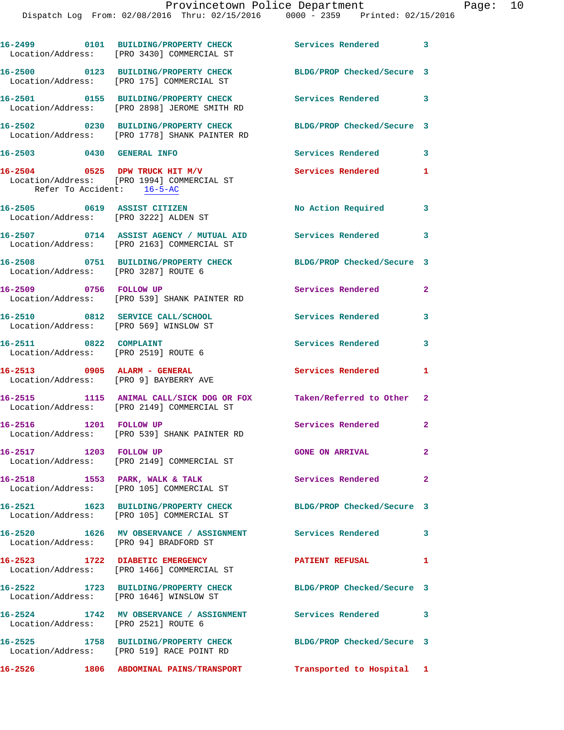|                                                                        | 16-2499   0101 BUILDING/PROPERTY CHECK   Services Rendered   3<br>Location/Address: [PRO 3430] COMMERCIAL ST     |                            |                         |
|------------------------------------------------------------------------|------------------------------------------------------------------------------------------------------------------|----------------------------|-------------------------|
|                                                                        | 16-2500 0123 BUILDING/PROPERTY CHECK<br>Location/Address: [PRO 175] COMMERCIAL ST                                | BLDG/PROP Checked/Secure 3 |                         |
|                                                                        | 16-2501 0155 BUILDING/PROPERTY CHECK<br>Location/Address: [PRO 2898] JEROME SMITH RD                             | Services Rendered 3        |                         |
|                                                                        | 16-2502 0230 BUILDING/PROPERTY CHECK<br>Location/Address: [PRO 1778] SHANK PAINTER RD                            | BLDG/PROP Checked/Secure 3 |                         |
| 16-2503 0430 GENERAL INFO                                              |                                                                                                                  | Services Rendered          | $\overline{\mathbf{3}}$ |
| Refer To Accident: 16-5-AC                                             | $16-2504$ 0525 DPW TRUCK HIT M/V<br>Location/Address: [PRO 1994] COMMERCIAL ST                                   | Services Rendered 1        |                         |
| 16-2505 0619 ASSIST CITIZEN<br>Location/Address: [PRO 3222] ALDEN ST   |                                                                                                                  | No Action Required 3       |                         |
|                                                                        | 16-2507 0714 ASSIST AGENCY / MUTUAL AID Services Rendered 3<br>Location/Address: [PRO 2163] COMMERCIAL ST        |                            |                         |
| Location/Address: [PRO 3287] ROUTE 6                                   | 16-2508 0751 BUILDING/PROPERTY CHECK                                                                             | BLDG/PROP Checked/Secure 3 |                         |
| 16-2509 0756 FOLLOW UP                                                 | Location/Address: [PRO 539] SHANK PAINTER RD                                                                     | Services Rendered          | $\overline{2}$          |
| Location/Address: [PRO 569] WINSLOW ST                                 | 16-2510 0812 SERVICE CALL/SCHOOL                                                                                 | <b>Services Rendered</b>   | 3                       |
| 16-2511 0822 COMPLAINT<br>Location/Address: [PRO 2519] ROUTE 6         |                                                                                                                  | Services Rendered          | 3                       |
| 16-2513 0905 ALARM - GENERAL<br>Location/Address: [PRO 9] BAYBERRY AVE |                                                                                                                  | Services Rendered          | $\mathbf{1}$            |
|                                                                        | 16-2515 1115 ANIMAL CALL/SICK DOG OR FOX Taken/Referred to Other 2<br>Location/Address: [PRO 2149] COMMERCIAL ST |                            |                         |
| 16-2516 1201 FOLLOW UP                                                 | Location/Address: [PRO 539] SHANK PAINTER RD                                                                     | Services Rendered 2        |                         |
| 16-2517 1203 FOLLOW UP                                                 | Location/Address: [PRO 2149] COMMERCIAL ST                                                                       | <b>GONE ON ARRIVAL</b>     | $\mathbf{2}$            |
|                                                                        | 16-2518 1553 PARK, WALK & TALK<br>Location/Address: [PRO 105] COMMERCIAL ST                                      | Services Rendered          | $\overline{2}$          |
|                                                                        | 16-2521 1623 BUILDING/PROPERTY CHECK<br>Location/Address: [PRO 105] COMMERCIAL ST                                | BLDG/PROP Checked/Secure 3 |                         |
| Location/Address: [PRO 94] BRADFORD ST                                 | 16-2520 1626 MV OBSERVANCE / ASSIGNMENT Services Rendered                                                        |                            | $\overline{\mathbf{3}}$ |
|                                                                        | 16-2523 1722 DIABETIC EMERGENCY<br>Location/Address: [PRO 1466] COMMERCIAL ST                                    | <b>PATIENT REFUSAL</b>     | $\mathbf{1}$            |
| Location/Address: [PRO 1646] WINSLOW ST                                | 16-2522 1723 BUILDING/PROPERTY CHECK                                                                             | BLDG/PROP Checked/Secure 3 |                         |
| Location/Address: [PRO 2521] ROUTE 6                                   | 16-2524 1742 MV OBSERVANCE / ASSIGNMENT Services Rendered                                                        |                            | 3                       |
|                                                                        | 16-2525 1758 BUILDING/PROPERTY CHECK<br>Location/Address: [PRO 519] RACE POINT RD                                | BLDG/PROP Checked/Secure 3 |                         |
|                                                                        | 16-2526 1806 ABDOMINAL PAINS/TRANSPORT                                                                           | Transported to Hospital 1  |                         |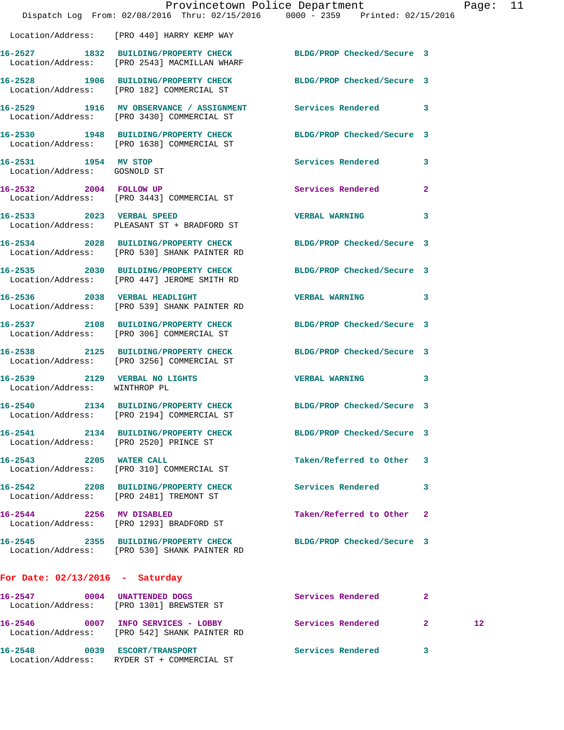|                                                      | Dispatch Log From: 02/08/2016 Thru: 02/15/2016 0000 - 2359 Printed: 02/15/2016                                  | Provincetown Police Department |              | Page: 11        |  |
|------------------------------------------------------|-----------------------------------------------------------------------------------------------------------------|--------------------------------|--------------|-----------------|--|
|                                                      | Location/Address: [PRO 440] HARRY KEMP WAY                                                                      |                                |              |                 |  |
|                                                      | 16-2527 1832 BUILDING/PROPERTY CHECK BLDG/PROP Checked/Secure 3<br>Location/Address: [PRO 2543] MACMILLAN WHARF |                                |              |                 |  |
|                                                      | 16-2528 1906 BUILDING/PROPERTY CHECK BLDG/PROP Checked/Secure 3<br>Location/Address: [PRO 182] COMMERCIAL ST    |                                |              |                 |  |
|                                                      | 16-2529 1916 MV OBSERVANCE / ASSIGNMENT Services Rendered 3<br>Location/Address: [PRO 3430] COMMERCIAL ST       |                                |              |                 |  |
|                                                      | 16-2530 1948 BUILDING/PROPERTY CHECK BLDG/PROP Checked/Secure 3<br>Location/Address: [PRO 1638] COMMERCIAL ST   |                                |              |                 |  |
| 16-2531 1954 MV STOP<br>Location/Address: GOSNOLD ST |                                                                                                                 | Services Rendered 3            |              |                 |  |
| 16-2532 2004 FOLLOW UP                               | Location/Address: [PRO 3443] COMMERCIAL ST                                                                      | Services Rendered              | $\mathbf{2}$ |                 |  |
| 16-2533 2023 VERBAL SPEED                            | Location/Address: PLEASANT ST + BRADFORD ST                                                                     | <b>VERBAL WARNING</b>          | 3            |                 |  |
|                                                      | 16-2534 2028 BUILDING/PROPERTY CHECK BLDG/PROP Checked/Secure 3<br>Location/Address: [PRO 530] SHANK PAINTER RD |                                |              |                 |  |
|                                                      | 16-2535 2030 BUILDING/PROPERTY CHECK BLDG/PROP Checked/Secure 3<br>Location/Address: [PRO 447] JEROME SMITH RD  |                                |              |                 |  |
|                                                      | 16-2536 2038 VERBAL HEADLIGHT<br>Location/Address: [PRO 539] SHANK PAINTER RD                                   | VERBAL WARNING 3               |              |                 |  |
|                                                      | 16-2537 2108 BUILDING/PROPERTY CHECK<br>Location/Address: [PRO 306] COMMERCIAL ST                               | BLDG/PROP Checked/Secure 3     |              |                 |  |
|                                                      | 16-2538 2125 BUILDING/PROPERTY CHECK BLDG/PROP Checked/Secure 3<br>Location/Address: [PRO 3256] COMMERCIAL ST   |                                |              |                 |  |
| Location/Address: WINTHROP PL                        | 16-2539 2129 VERBAL NO LIGHTS WERBAL WARNING                                                                    |                                | 3            |                 |  |
| 16-2540                                              | 2134 BUILDING/PROPERTY CHECK BLDG/PROP Checked/Secure 3<br>Location/Address: [PRO 2194] COMMERCIAL ST           |                                |              |                 |  |
|                                                      | 16-2541 2134 BUILDING/PROPERTY CHECK BLDG/PROP Checked/Secure 3<br>Location/Address: [PRO 2520] PRINCE ST       |                                |              |                 |  |
| 16-2543 2205 WATER CALL                              | Location/Address: [PRO 310] COMMERCIAL ST                                                                       | Taken/Referred to Other 3      |              |                 |  |
|                                                      | 16-2542 2208 BUILDING/PROPERTY CHECK<br>Location/Address: [PRO 2481] TREMONT ST                                 | Services Rendered              | 3            |                 |  |
|                                                      | 16-2544 2256 MV DISABLED<br>Location/Address: [PRO 1293] BRADFORD ST                                            | Taken/Referred to Other 2      |              |                 |  |
|                                                      | 16-2545 2355 BUILDING/PROPERTY CHECK BLDG/PROP Checked/Secure 3<br>Location/Address: [PRO 530] SHANK PAINTER RD |                                |              |                 |  |
| For Date: $02/13/2016$ - Saturday                    |                                                                                                                 |                                |              |                 |  |
|                                                      | 16-2547 0004 UNATTENDED DOGS<br>Location/Address: [PRO 1301] BREWSTER ST                                        | Services Rendered              | $\mathbf{2}$ |                 |  |
|                                                      | 16-2546 0007 INFO SERVICES - LOBBY<br>Location/Address: [PRO 542] SHANK PAINTER RD                              | Services Rendered 2            |              | 12 <sub>1</sub> |  |
|                                                      | 16-2548 0039 ESCORT/TRANSPORT<br>Location/Address: RYDER ST + COMMERCIAL ST                                     | <b>Services Rendered</b>       | 3            |                 |  |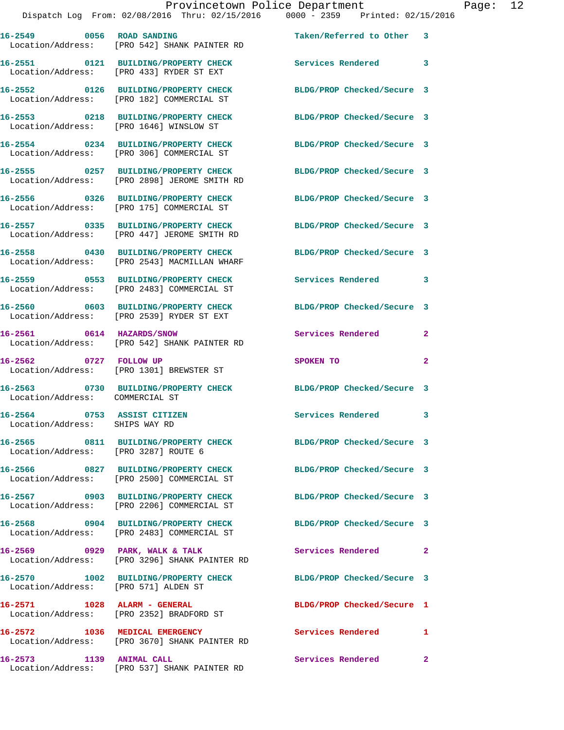| 16-2549 0056 ROAD SANDING                                     | Location/Address: [PRO 542] SHANK PAINTER RD                                         | Taken/Referred to Other 3  |                |
|---------------------------------------------------------------|--------------------------------------------------------------------------------------|----------------------------|----------------|
|                                                               | 16-2551 0121 BUILDING/PROPERTY CHECK<br>Location/Address: [PRO 433] RYDER ST EXT     | Services Rendered 3        |                |
|                                                               | 16-2552 0126 BUILDING/PROPERTY CHECK<br>Location/Address: [PRO 182] COMMERCIAL ST    | BLDG/PROP Checked/Secure 3 |                |
|                                                               | 16-2553 0218 BUILDING/PROPERTY CHECK<br>Location/Address: [PRO 1646] WINSLOW ST      | BLDG/PROP Checked/Secure 3 |                |
|                                                               | 16-2554 0234 BUILDING/PROPERTY CHECK<br>Location/Address: [PRO 306] COMMERCIAL ST    | BLDG/PROP Checked/Secure 3 |                |
|                                                               | 16-2555 0257 BUILDING/PROPERTY CHECK<br>Location/Address: [PRO 2898] JEROME SMITH RD | BLDG/PROP Checked/Secure 3 |                |
|                                                               | 16-2556 0326 BUILDING/PROPERTY CHECK<br>Location/Address: [PRO 175] COMMERCIAL ST    | BLDG/PROP Checked/Secure 3 |                |
|                                                               | 16-2557 0335 BUILDING/PROPERTY CHECK<br>Location/Address: [PRO 447] JEROME SMITH RD  | BLDG/PROP Checked/Secure 3 |                |
|                                                               | 16-2558 0430 BUILDING/PROPERTY CHECK<br>Location/Address: [PRO 2543] MACMILLAN WHARF | BLDG/PROP Checked/Secure 3 |                |
|                                                               | 16-2559 0553 BUILDING/PROPERTY CHECK<br>Location/Address: [PRO 2483] COMMERCIAL ST   | Services Rendered          | 3              |
|                                                               | 16-2560 0603 BUILDING/PROPERTY CHECK<br>Location/Address: [PRO 2539] RYDER ST EXT    | BLDG/PROP Checked/Secure 3 |                |
| 16-2561 0614 HAZARDS/SNOW                                     | Location/Address: [PRO 542] SHANK PAINTER RD                                         | Services Rendered          | $\mathbf{2}$   |
| 16-2562 0727 FOLLOW UP                                        | Location/Address: [PRO 1301] BREWSTER ST                                             | SPOKEN TO                  | $\overline{a}$ |
| Location/Address: COMMERCIAL ST                               | 16-2563 0730 BUILDING/PROPERTY CHECK                                                 | BLDG/PROP Checked/Secure 3 |                |
| 16-2564 0753 ASSIST CITIZEN<br>Location/Address: SHIPS WAY RD |                                                                                      | Services Rendered 3        |                |
| Location/Address: [PRO 3287] ROUTE 6                          | 16-2565 0811 BUILDING/PROPERTY CHECK                                                 | BLDG/PROP Checked/Secure 3 |                |
|                                                               | 16-2566 0827 BUILDING/PROPERTY CHECK<br>Location/Address: [PRO 2500] COMMERCIAL ST   | BLDG/PROP Checked/Secure 3 |                |
|                                                               | 16-2567 0903 BUILDING/PROPERTY CHECK<br>Location/Address: [PRO 2206] COMMERCIAL ST   | BLDG/PROP Checked/Secure 3 |                |
|                                                               | 16-2568 0904 BUILDING/PROPERTY CHECK<br>Location/Address: [PRO 2483] COMMERCIAL ST   | BLDG/PROP Checked/Secure 3 |                |
| $16-2569$ 0929 PARK, WALK & TALK                              | Location/Address: [PRO 3296] SHANK PAINTER RD                                        | Services Rendered          | $\mathbf{2}$   |
| Location/Address: [PRO 571] ALDEN ST                          | 16-2570 1002 BUILDING/PROPERTY CHECK                                                 | BLDG/PROP Checked/Secure 3 |                |
| 16-2571 1028 ALARM - GENERAL                                  | Location/Address: [PRO 2352] BRADFORD ST                                             | BLDG/PROP Checked/Secure 1 |                |
|                                                               | 16-2572 1036 MEDICAL EMERGENCY<br>Location/Address: [PRO 3670] SHANK PAINTER RD      | Services Rendered 1        |                |
| 16-2573 1139 ANIMAL CALL                                      |                                                                                      | Services Rendered 2        |                |

Location/Address: [PRO 537] SHANK PAINTER RD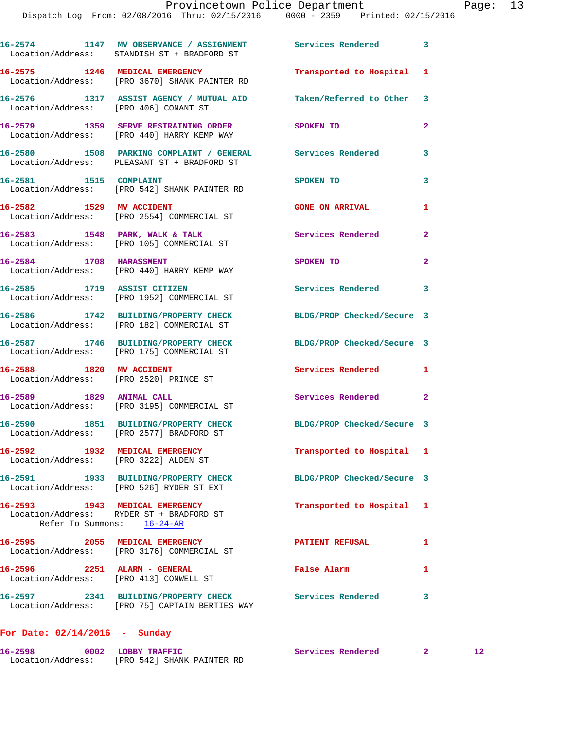|                             | 16-2574 1147 MV OBSERVANCE / ASSIGNMENT Services Rendered<br>Location/Address: STANDISH ST + BRADFORD ST  |                            | $\mathbf{3}$            |
|-----------------------------|-----------------------------------------------------------------------------------------------------------|----------------------------|-------------------------|
|                             | 16-2575 1246 MEDICAL EMERGENCY<br>Location/Address: [PRO 3670] SHANK PAINTER RD                           | Transported to Hospital    | 1                       |
|                             | 16-2576 1317 ASSIST AGENCY / MUTUAL AID<br>Location/Address: [PRO 406] CONANT ST                          | Taken/Referred to Other 3  |                         |
|                             | 16-2579 1359 SERVE RESTRAINING ORDER<br>Location/Address: [PRO 440] HARRY KEMP WAY                        | SPOKEN TO                  | $\mathbf{2}$            |
|                             | 16-2580 1508 PARKING COMPLAINT / GENERAL Services Rendered<br>Location/Address: PLEASANT ST + BRADFORD ST |                            | 3                       |
| 16-2581 1515 COMPLAINT      | Location/Address: [PRO 542] SHANK PAINTER RD                                                              | SPOKEN TO                  | 3                       |
| 16-2582 1529 MV ACCIDENT    | Location/Address: [PRO 2554] COMMERCIAL ST                                                                | <b>GONE ON ARRIVAL</b>     | 1                       |
|                             | 16-2583 1548 PARK, WALK & TALK<br>Location/Address: [PRO 105] COMMERCIAL ST                               | <b>Services Rendered</b>   | $\mathbf{2}$            |
| 16-2584 1708 HARASSMENT     | Location/Address: [PRO 440] HARRY KEMP WAY                                                                | SPOKEN TO                  | $\overline{2}$          |
| 16-2585 1719 ASSIST CITIZEN | Location/Address: [PRO 1952] COMMERCIAL ST                                                                | <b>Services Rendered</b>   | $\overline{\mathbf{3}}$ |
|                             | 16-2586 1742 BUILDING/PROPERTY CHECK<br>Location/Address: [PRO 182] COMMERCIAL ST                         | BLDG/PROP Checked/Secure 3 |                         |
|                             | 16-2587 1746 BUILDING/PROPERTY CHECK<br>Location/Address: [PRO 175] COMMERCIAL ST                         | BLDG/PROP Checked/Secure 3 |                         |
| 16-2588 1820 MV ACCIDENT    | Location/Address: [PRO 2520] PRINCE ST                                                                    | Services Rendered          | 1                       |
|                             | 16-2589 1829 ANIMAL CALL<br>Location/Address: [PRO 3195] COMMERCIAL ST                                    | Services Rendered          | 2                       |
|                             | 16-2590 1851 BUILDING/PROPERTY CHECK<br>Location/Address: [PRO 2577] BRADFORD ST                          | BLDG/PROP Checked/Secure 3 |                         |
|                             | 16-2592 1932 MEDICAL EMERGENCY<br>Location/Address: [PRO 3222] ALDEN ST                                   | Transported to Hospital 1  |                         |
|                             | 16-2591 1933 BUILDING/PROPERTY CHECK<br>Location/Address: [PRO 526] RYDER ST EXT                          | BLDG/PROP Checked/Secure 3 |                         |
|                             | 16-2593 1943 MEDICAL EMERGENCY<br>Location/Address: RYDER ST + BRADFORD ST<br>Refer To Summons: 16-24-AR  | Transported to Hospital 1  |                         |
|                             | 16-2595 2055 MEDICAL EMERGENCY<br>Location/Address: [PRO 3176] COMMERCIAL ST                              | <b>PATIENT REFUSAL</b>     | 1                       |
|                             | 16-2596 2251 ALARM - GENERAL<br>Location/Address: [PRO 413] CONWELL ST                                    | False Alarm                | 1                       |
|                             | 16-2597 2341 BUILDING/PROPERTY CHECK Services Rendered<br>Location/Address: [PRO 75] CAPTAIN BERTIES WAY  |                            | 3                       |
|                             |                                                                                                           |                            |                         |

## **For Date: 02/14/2016 - Sunday**

| 16-2598           | 0002 LOBBY TRAFFIC         | Services Rendered |  |
|-------------------|----------------------------|-------------------|--|
| Location/Address: | [PRO 542] SHANK PAINTER RD |                   |  |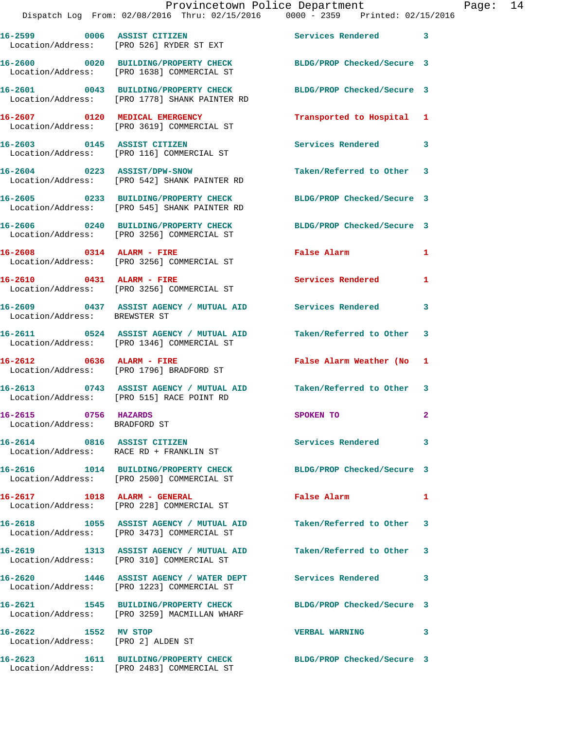|                                                            | Provincetown Police Department<br>Dispatch Log From: 02/08/2016 Thru: 02/15/2016 0000 - 2359 Printed: 02/15/2016 |                            |   |
|------------------------------------------------------------|------------------------------------------------------------------------------------------------------------------|----------------------------|---|
|                                                            |                                                                                                                  |                            |   |
|                                                            | 16-2599 0006 ASSIST CITIZEN<br>Location/Address: [PRO 526] RYDER ST EXT                                          | Services Rendered          | 3 |
|                                                            | 16-2600 0020 BUILDING/PROPERTY CHECK BLDG/PROP Checked/Secure 3<br>Location/Address: [PRO 1638] COMMERCIAL ST    |                            |   |
|                                                            | 16-2601 0043 BUILDING/PROPERTY CHECK<br>Location/Address: [PRO 1778] SHANK PAINTER RD                            | BLDG/PROP Checked/Secure 3 |   |
| 16-2607 0120 MEDICAL EMERGENCY                             | Location/Address: [PRO 3619] COMMERCIAL ST                                                                       | Transported to Hospital 1  |   |
|                                                            | 16-2603 0145 ASSIST CITIZEN<br>Location/Address: [PRO 116] COMMERCIAL ST                                         | <b>Services Rendered</b>   | 3 |
|                                                            | 16-2604 0223 ASSIST/DPW-SNOW<br>Location/Address: [PRO 542] SHANK PAINTER RD                                     | Taken/Referred to Other    | 3 |
|                                                            | 16-2605 0233 BUILDING/PROPERTY CHECK<br>Location/Address: [PRO 545] SHANK PAINTER RD                             | BLDG/PROP Checked/Secure 3 |   |
|                                                            | 16-2606 0240 BUILDING/PROPERTY CHECK<br>Location/Address: [PRO 3256] COMMERCIAL ST                               | BLDG/PROP Checked/Secure 3 |   |
| 16-2608 0314 ALARM - FIRE                                  | Location/Address: [PRO 3256] COMMERCIAL ST                                                                       | False Alarm                | 1 |
|                                                            | 16-2610 0431 ALARM - FIRE<br>Location/Address: [PRO 3256] COMMERCIAL ST                                          | Services Rendered          | 1 |
| Location/Address: BREWSTER ST                              | 16-2609 0437 ASSIST AGENCY / MUTUAL AID Services Rendered                                                        |                            | 3 |
|                                                            | 16-2611 0524 ASSIST AGENCY / MUTUAL AID Taken/Referred to Other<br>Location/Address: [PRO 1346] COMMERCIAL ST    |                            | 3 |
| 16-2612 0636 ALARM - FIRE                                  | Location/Address: [PRO 1796] BRADFORD ST                                                                         | False Alarm Weather (No    | 1 |
|                                                            | 16-2613 0743 ASSIST AGENCY / MUTUAL AID Taken/Referred to Other<br>Location/Address: [PRO 515] RACE POINT RD     |                            | 3 |
| 16-2615 0756 HAZARDS<br>Location/Address: BRADFORD ST      |                                                                                                                  | SPOKEN TO                  |   |
| 16-2614 0816 ASSIST CITIZEN                                | Location/Address: RACE RD + FRANKLIN ST                                                                          | <b>Services Rendered</b>   | 3 |
|                                                            | 16-2616 1014 BUILDING/PROPERTY CHECK<br>Location/Address: [PRO 2500] COMMERCIAL ST                               | BLDG/PROP Checked/Secure 3 |   |
|                                                            | 16-2617 1018 ALARM - GENERAL<br>Location/Address: [PRO 228] COMMERCIAL ST                                        | False Alarm                | 1 |
|                                                            | 16-2618 1055 ASSIST AGENCY / MUTUAL AID Taken/Referred to Other<br>Location/Address: [PRO 3473] COMMERCIAL ST    |                            | 3 |
|                                                            | 16-2619 1313 ASSIST AGENCY / MUTUAL AID Taken/Referred to Other<br>Location/Address: [PRO 310] COMMERCIAL ST     |                            | 3 |
|                                                            | 16-2620 1446 ASSIST AGENCY / WATER DEPT Services Rendered<br>Location/Address: [PRO 1223] COMMERCIAL ST          |                            | 3 |
|                                                            | 16-2621 1545 BUILDING/PROPERTY CHECK BLDG/PROP Checked/Secure 3<br>Location/Address: [PRO 3259] MACMILLAN WHARF  |                            |   |
| 16-2622 1552 MV STOP<br>Location/Address: [PRO 2] ALDEN ST |                                                                                                                  | <b>VERBAL WARNING</b>      | 3 |
|                                                            | 16-2623 1611 BUILDING/PROPERTY CHECK BLDG/PROP Checked/Secure 3                                                  |                            |   |

Location/Address: [PRO 2483] COMMERCIAL ST

Page:  $14$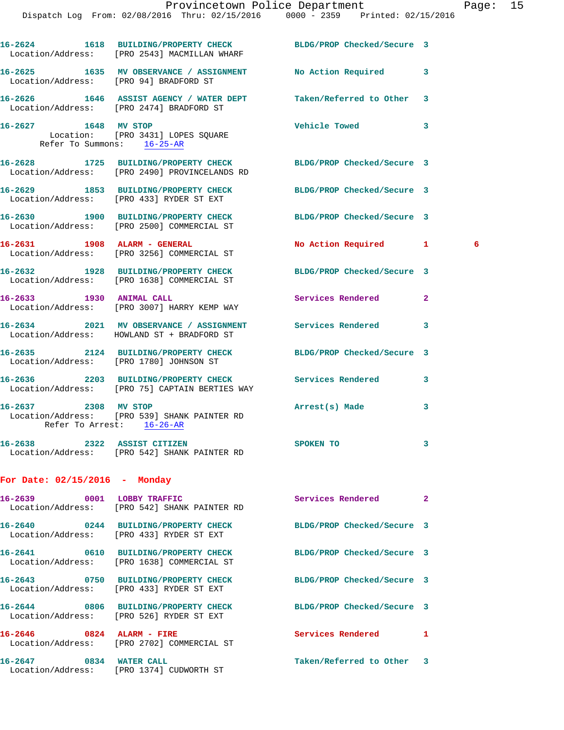|                                        | Dispatch Log From: 02/08/2016 Thru: 02/15/2016 0000 - 2359 Printed: 02/15/2016                                   | Provincetown Police Department Page: 15 |              |   |  |
|----------------------------------------|------------------------------------------------------------------------------------------------------------------|-----------------------------------------|--------------|---|--|
|                                        | 16-2624 1618 BUILDING/PROPERTY CHECK BLDG/PROP Checked/Secure 3<br>Location/Address: [PRO 2543] MACMILLAN WHARF  |                                         |              |   |  |
| Location/Address: [PRO 94] BRADFORD ST | 16-2625 1635 MV OBSERVANCE / ASSIGNMENT No Action Required 3                                                     |                                         |              |   |  |
|                                        | 16-2626 1646 ASSIST AGENCY / WATER DEPT<br>Location/Address: [PRO 2474] BRADFORD ST                              | Taken/Referred to Other 3               |              |   |  |
| Refer To Summons: 16-25-AR             | 16-2627 1648 MV STOP<br>Location: [PRO 3431] LOPES SQUARE                                                        | Vehicle Towed 3                         |              |   |  |
|                                        | 16-2628 1725 BUILDING/PROPERTY CHECK BLDG/PROP Checked/Secure 3<br>Location/Address: [PRO 2490] PROVINCELANDS RD |                                         |              |   |  |
|                                        | 16-2629 1853 BUILDING/PROPERTY CHECK BLDG/PROP Checked/Secure 3<br>Location/Address: [PRO 433] RYDER ST EXT      |                                         |              |   |  |
|                                        | 16-2630 1900 BUILDING/PROPERTY CHECK BLDG/PROP Checked/Secure 3<br>Location/Address: [PRO 2500] COMMERCIAL ST    |                                         |              |   |  |
|                                        | 16-2631 1908 ALARM - GENERAL<br>Location/Address: [PRO 3256] COMMERCIAL ST                                       | No Action Required 1                    |              | 6 |  |
|                                        | 16-2632 1928 BUILDING/PROPERTY CHECK BLDG/PROP Checked/Secure 3<br>Location/Address: [PRO 1638] COMMERCIAL ST    |                                         |              |   |  |
|                                        | 16-2633 1930 ANIMAL CALL<br>Location/Address: [PRO 3007] HARRY KEMP WAY                                          | <b>Services Rendered</b>                | $\mathbf{2}$ |   |  |
|                                        | 16-2634 2021 MV OBSERVANCE / ASSIGNMENT Services Rendered<br>Location/Address: HOWLAND ST + BRADFORD ST          |                                         | 3            |   |  |

**For Date: 02/15/2016 - Monday**

Location/Address: [PRO 1780] JOHNSON ST

Refer To Arrest: 16-26-AR

Location/Address: [PRO 75] CAPTAIN BERTIES WAY

Location/Address: [PRO 539] SHANK PAINTER RD

Location/Address: [PRO 542] SHANK PAINTER RD

| 16-2639 0001 LOBBY TRAFFIC | Location/Address: [PRO 542] SHANK PAINTER RD                                     | Services Rendered          | $\overline{2}$ |
|----------------------------|----------------------------------------------------------------------------------|----------------------------|----------------|
|                            | Location/Address: [PRO 433] RYDER ST EXT                                         | BLDG/PROP Checked/Secure 3 |                |
|                            | Location/Address: [PRO 1638] COMMERCIAL ST                                       | BLDG/PROP Checked/Secure 3 |                |
|                            | Location/Address: [PRO 433] RYDER ST EXT                                         | BLDG/PROP Checked/Secure 3 |                |
|                            | 16-2644 0806 BUILDING/PROPERTY CHECK<br>Location/Address: [PRO 526] RYDER ST EXT | BLDG/PROP Checked/Secure 3 |                |
|                            | Location/Address: [PRO 2702] COMMERCIAL ST                                       | Services Rendered          | $\mathbf{1}$   |
| 16-2647 0834 WATER CALL    | Location/Address: [PRO 1374] CUDWORTH ST                                         | Taken/Referred to Other 3  |                |

**16-2635 2124 BUILDING/PROPERTY CHECK BLDG/PROP Checked/Secure 3** 

**16-2636 2203 BUILDING/PROPERTY CHECK Services Rendered 3** 

**16-2637 2308 MV STOP Arrest(s) Made 3** 

**16-2638 2322 ASSIST CITIZEN SPOKEN TO 3**